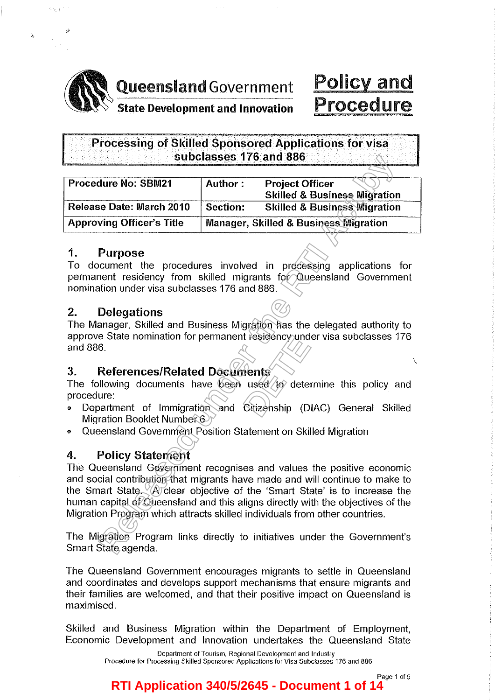

划装

**AN Queensland Government AN Queensland Government**<br>State Development and Innovation

# Policy and Procedure

# Processing of Skilled Sponsored Applications for visa subclasses 176 and 886

| <b>Procedure No: SBM21</b>       | Author:                                          | <b>Project Officer</b><br><b>Skilled &amp; Business Migration</b> |
|----------------------------------|--------------------------------------------------|-------------------------------------------------------------------|
| Release Date: March 2010         | Section:                                         | <b>Skilled &amp; Business Migration</b>                           |
| <b>Approving Officer's Title</b> | <b>Manager, Skilled &amp; Business Migration</b> |                                                                   |

# 1. Purpose

To document the procedures involved in processing applications for permanent residency from skilled migrants for Queensland Government nomination under visa subclasses 176 and 886.

# 2. Delegations

The Manager, Skilled and Business Migration has the delegated authority to approve State nomination for permanent residency under visa subclasses 176 and 886.

# 3. References/Related Documents

The following documents have been used  $\langle$  to determine this policy and procedure: t resigency una<br>**dents**<br>used *to* deter<br>Citizenship (D

- Department of Immigration and Citizenship (DIAC) General Skilled Migration Booklet Number 6
- o Queensland Government Position Statement on Skilled Migration

# 4. Policy Statement

The Queensland Government recognises and values the positive economic and social contribution that migrants have made and will continue to make to the Smart State.  $\langle A \rangle$  clear objective of the 'Smart State' is to increase the human capital of Queensland and this aligns directly with the objectives of the Migration Program which attracts skilled individuals from other countries. **Release State Property Controllery**<br> **Release March 2010** Section: **Release State Releases Migration**<br> **Release March 2010** Section: **Relied & Business Migration**<br> **Release State Manager, Skilled & Business Migration**<br> **P** 

The Migration Program links directly to initiatives under the Government's Smart State agenda.

The Queensland Government encourages migrants to settle in Queensland and coordinates and develops support mechanisms that ensure migrants and their families are welcomed, and that their positive impact on Queensland is maximised.

Skilled and Business Migration within the Department of Employment, Economic Development and Innovation undertakes the Queensland State

> Department of Tourism, Regional Development and Industry Procedure for Processing Skilled Sponsored Applications for Visa Subclasses 176 and 886

> > Page 1 of 5

 $\overline{\phantom{0}}$ 

# **RTI Application 340/5/2645 - Document 1 of 14**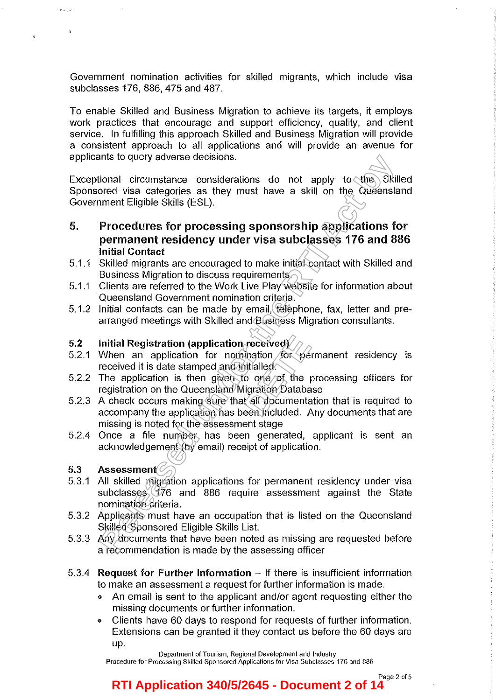Government nomination activities for skilled migrants, which include visa subclasses 176, 886, 475 and 487.

To enable Skilled and Business Migration to achieve its targets, it employs work practices that encourage and support efficiency, quality, and client service. In fulfilling this approach Skilled and Business Migration will provide a consistent approach to all applications and will provide an avenue for applicants to query adverse decisions.

Exceptional circumstance considerations do not apply to  $\langle$ the Skilled Sponsored visa categories as they must have a skill on the Queensland Government Eligible Skills (ESL).

- 5. Procedures for processing sponsorship applications for permanent residency under visa subclasses 176 and 886 Initial Contact ints to query adverse decisions.<br>
Incord visa categories as isterations do not apply to the Skill<br>
Incred visa categories as they must have a skill on the Queensla<br>
Incred visa categories as they must have a skill on the Q
- 5.1.1 Skilled migrants are encouraged to make initial contact with Skilled and Business Migration to discuss requirements.
- 5.1.1 Clients are referred to the Work Live Play website for information about Queensland Government nomination criteria.
- 5.1.2 Initial contacts can be made by email, telephone, fax, letter and prearranged meetings with Skilled and Business Migration consultants.

## 5.2 Initial Registration (application received)

- 5.2.1 When an application for nomination for permanent residency is received it is date stamped and initialled. *received*<br> **Detained**<br> **Detained**<br> **Detained**<br> **Detained**<br> **Detained**<br> **Detained**<br> **Detained**<br> **Detained**<br> **Detained**<br> **Detained**<br> **Detained**<br> **Detained**<br> **Period**<br> **Period**<br> **Period**<br> **Period**<br> **Period**
- 5.2.2 The application is then given to one of the processing officers for registration on the Queensland Migration Database
- 5.2.3 A check occurs making sure that all documentation that is required to accompany the application has been included. Any documents that are missing is noted for the assessment stage
- 5.2.4 Once a file number has been generated, applicant is sent an acknowledgement (by email) receipt of application.

## 5.3 Assessment

 $\ddot{\phantom{1}}$ 

- 5.3.1 All skilled migration applications for permanent residency under visa subclasses 176 and 886 require assessment against the State nomination criteria.
- 5.3.2 Applicants must have an occupation that is listed on the Queensland Skilled Sponsored Eligible Skills List.
- 5.3.3 Any documents that have been noted as missing are requested before a recommendation is made by the assessing officer
- 5.3.4 Request for Further Information  $-$  If there is insufficient information to make an assessment a request for further information is made.
	- An email is sent to the applicant and/or agent requesting either the missing documents or further information.
	- Clients have 60 days to respond for requests of further information. Extensions can be granted it they contact us before the 60 days are up.

Department of Tourism, Regional Development and Industry Procedure for Processing Skilled Sponsored Applications for Visa Subclasses 176 and 886

#### Page 2 of 5 **RTI Application 340/5/2645 - Document 2 of 14**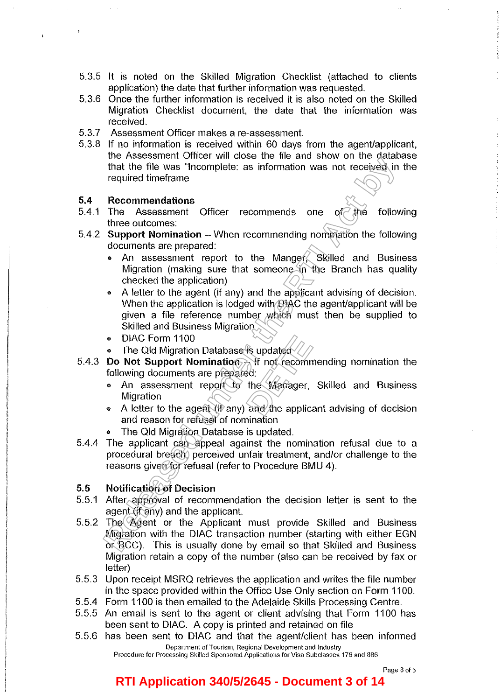- 5.3.5 It is noted on the Skilled Migration Checklist (attached to clients application) the date that further information was requested.
- 5.3.6 Once the further information is received it is also noted on the Skilled Migration Checklist document, the date that the information was received.
- 5.3.7 Assessment Officer makes a re-assessment.
- 5.3.8 If no information is received within 60 days from the agent/applicant, the Assessment Officer will close the file and show on the database that the file was "Incomplete: as information was not received in the required timeframe

#### 5.4 **Recommendations**

 $\ddagger$ 

- 5.4.1 The Assessment Officer recommends one of  $\partial f$  and following three outcomes:
- 5.4.2 **Support Nomination**  When recommending nomination the following documents are prepared:
	- An assessment report to the Manger, Skilled and Business Migration (making sure that someone in the Branch has quality checked the application)
- e A letter to the agent (if any) and the applicant advising of decision. When the application is lodged with  $D$ IAC the agent/applicant will be given a file reference number which must then be supplied to Skilled and Business Migration that the file was "Incomplete: as information was not received in<br>that the file was "Incomplete: as information was not received in<br>required timeframe<br>**Recommending**<br>**RECONSIDE TO Accommending** commending of the subspace o
	- DIAC Form 1100
	- The Qld Migration Database is updated
- 5.4.3 Do Not Support Nomination<sub>27</sub> If not recommending nomination the following documents are prepared: • DIAC Form 1100<br>
• The Qld Migration Database is updated<br> **Do Not Support Nomination** If not recommending nomination the<br>
following documents are prepared:<br>
• An assessment report to the Manager, Skilled and Business<br>
Mig
	- An assessment report to the Manager, Skilled and Business **Migration**
	- and reason for refusal of nomination
	- The Qld Migration Database is updated.
- 5.4.4 The applicant can appeal against the nomination refusal due to a procedural breach, perceived unfair treatment, and/or challenge to the reasons given for refusal (refer to Procedure BMU 4).

#### 5.5 **Notification of Decision**

- 5.5.1 After approval of recommendation the decision letter is sent to the agent (if any) and the applicant.
- 5.5.2 The Agent or the Applicant must provide Skilled and Business Migration with the DIAC transaction number (starting with either EGN  $\overrightarrow{\text{or}}$  BCC). This is usually done by email so that Skilled and Business Migration retain a copy of the number (also can be received by fax or letter)
- 5.5.3 Upon receipt MSRQ retrieves the application and writes the file number in the space provided within the Office Use Only section on Form 1100.
- 5.5.4 Form 1100 is then emailed to the Adelaide Skills Processing Centre.
- 5.5.5 An email is sent to the agent or client advising that Form 1100 has been sent to DIAC. A copy is printed and retained on file
- 5.5.6 has been sent to DIAC and that the agent/client has been informed **Department of Tourism, Regional Development and Industry**

**Procedure for Processing Skilled Sponsored Applications for Visa Subclasses 176 and 886** 

## **RTI Application 340/5/2645 - Document 3 of 14**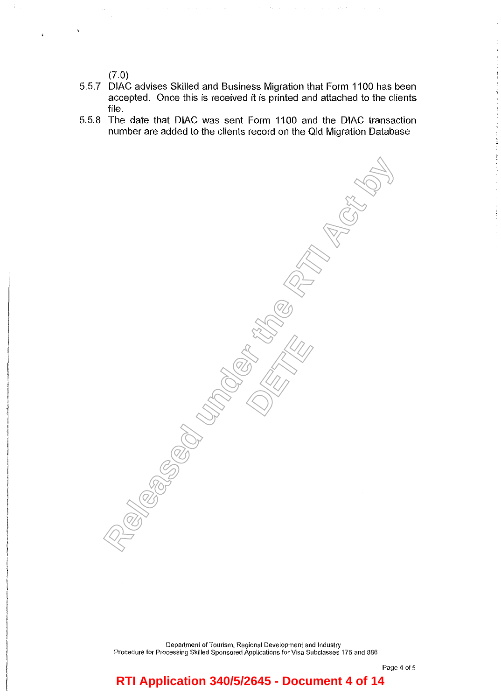(7.0)

- 5.5.7 DIAC advises Skilled and Business Migration that Form 1100 has been accepted. Once this is received it is printed and attached to the clients file.
- 5.5.8 The date that DIAC was sent Form 1100 and the DIAC transaction number are added to the clients record on the Qld Migration Database

**Religions** 

**DETERNATION** 

Department of Tourism, Regional Development and Industry Procedure for Processing Skilled Sponsored Applications for Visa Subclasses 176 and 886

Page 4 of 5

# **RTI Application 340/5/2645 - Document 4 of 14**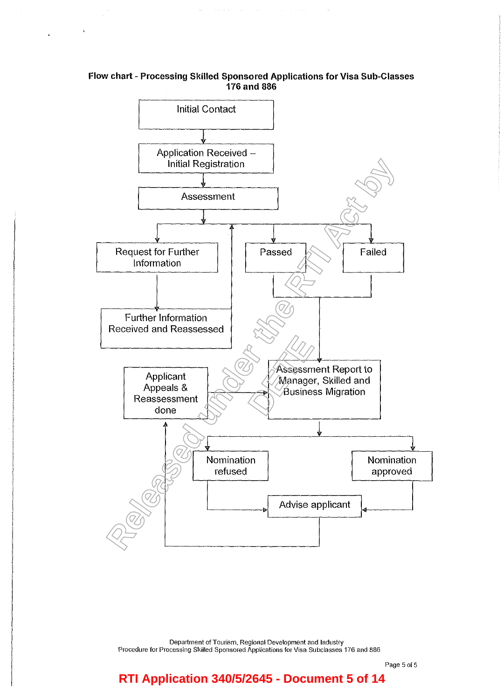### Flow chart- Processing Skilled Sponsored Applications for Visa Sub-Classes 176 and 886



Department of Tourism. Regional Development and Industry Procedure for Processing Skilled Sponsored Applications for Visa Subclasses 176 and 886

# **RTI Application 340/5/2645 - Document 5 of 14**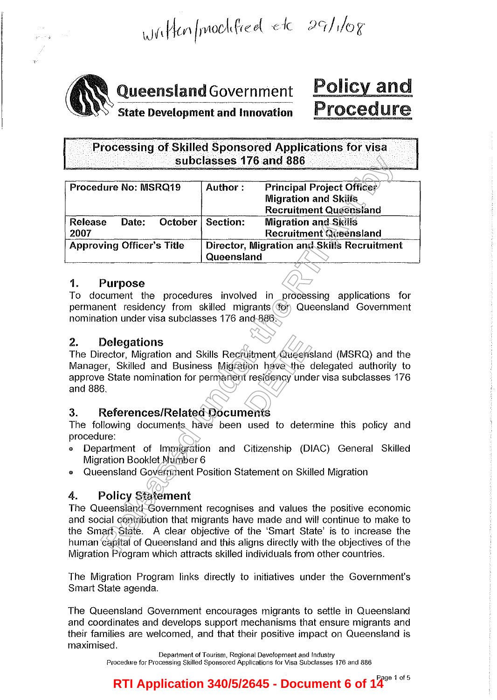Written/modified etc 29/1/08



# **AN Queensland Government**

# Policy and Procedure

Processing of Skilled Sponsored Applications for visa subclasses 176 and 886

| subclasses 176 and 886                                                                              |                                            |                                                                  |  |  |
|-----------------------------------------------------------------------------------------------------|--------------------------------------------|------------------------------------------------------------------|--|--|
|                                                                                                     |                                            |                                                                  |  |  |
| Procedure No: MSRQ19                                                                                | Author:                                    | <b>Principal Project Officer</b>                                 |  |  |
|                                                                                                     |                                            | <b>Migration and Skills</b>                                      |  |  |
|                                                                                                     |                                            | <b>Recruitment Queensland</b>                                    |  |  |
| Date:<br>October<br><b>Release</b>                                                                  | Section:                                   | <b>Migration and Skills</b>                                      |  |  |
| 2007                                                                                                |                                            | <b>Recruitment Queensland</b>                                    |  |  |
| <b>Approving Officer's Title</b>                                                                    | Director, Migration and Skills Recruitment |                                                                  |  |  |
|                                                                                                     | Queensland                                 |                                                                  |  |  |
| <b>Purpose</b><br>1.                                                                                |                                            |                                                                  |  |  |
| To document the procedures involved in processing applications for                                  |                                            |                                                                  |  |  |
| permanent residency from skilled migrants (for Queensland Government                                |                                            |                                                                  |  |  |
| nomination under visa subclasses 176 and 886.                                                       |                                            |                                                                  |  |  |
|                                                                                                     |                                            |                                                                  |  |  |
| 2.<br>Delegations                                                                                   |                                            |                                                                  |  |  |
| The Director, Migration and Skills Recruitment/Queensland (MSRQ) and the                            |                                            |                                                                  |  |  |
| Manager, Skilled and Business Migration have the delegated authority to                             |                                            |                                                                  |  |  |
| approve State nomination for permanent residency under visa subclasses 176                          |                                            |                                                                  |  |  |
| and 886.                                                                                            |                                            |                                                                  |  |  |
|                                                                                                     |                                            |                                                                  |  |  |
| 3.                                                                                                  |                                            |                                                                  |  |  |
| References/Related Documents<br>The following documents have been used to determine this policy and |                                            |                                                                  |  |  |
|                                                                                                     |                                            |                                                                  |  |  |
| procedure:                                                                                          |                                            |                                                                  |  |  |
| ٥                                                                                                   |                                            | Department of Immigration and Citizenship (DIAC) General Skilled |  |  |
| Migration Booklet Number 6                                                                          |                                            |                                                                  |  |  |
| Queensland Government Position Statement on Skilled Migration<br>0                                  |                                            |                                                                  |  |  |
|                                                                                                     |                                            |                                                                  |  |  |
| <b>Policy Statement</b><br>4.                                                                       |                                            |                                                                  |  |  |
| The Queenstand Government recognises and values the positive economic                               |                                            |                                                                  |  |  |
| and social contribution that migrants have made and will continue to make to                        |                                            |                                                                  |  |  |
| the Smart State. A clear objective of the 'Smart State' is to increase the                          |                                            |                                                                  |  |  |
| human capital of Queensland and this aligns directly with the objectives of the                     |                                            |                                                                  |  |  |
| Mianotian Décourse Which attracts skilled individuale from other countries                          |                                            |                                                                  |  |  |

## 1. Purpose

# 2. Delegations

# 3. References/Related Documents

- Department of Immigration and Citizenship (DIAC) General Skilled Migration Booklet Number 6
- o Queensland Government Position Statement on Skilled Migration

# 4. Policy Statement

The Queensland Government recognises and values the positive economic and social contribution that migrants have made and will continue to make to the Smart State. A clear objective of the 'Smart State' is to increase the human capital of Queensland and this aligns directly with the objectives of the Migration Program which attracts skilled individuals from other countries.

The Migration Program links directly to initiatives under the Government's Smart State agenda.

The Queensland Government encourages migrants to settle in Queensland and coordinates and develops support mechanisms that ensure migrants and their families are welcomed, and that their positive impact on Queensland is maximised.

> Department of Tourism, Regional Development and Industry Procedure for Processing Skilled Sponsored Applications for Visa Subclasses 176 and 886

RTI Application 340/5/2645 - Document 6 of 14<sup>Page 1 of 5</sup>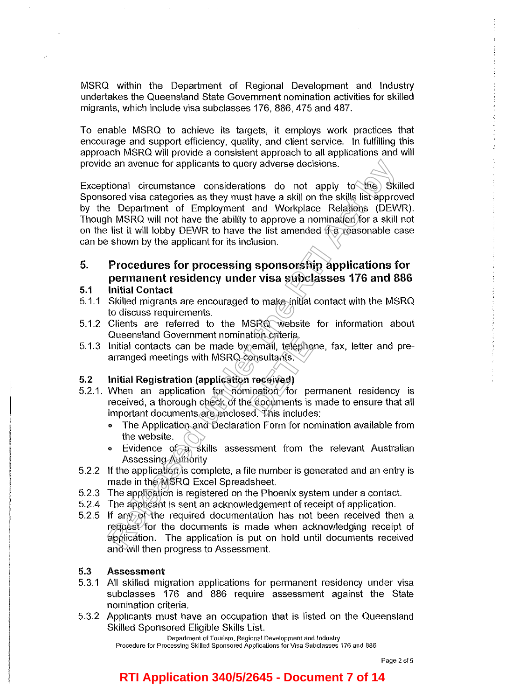MSRQ within the Department of Regional Development and Industry undertakes the Queensland State Government nomination activities for skilled migrants, which include visa subclasses 176, 886, 475 and 487.

To enable MSRQ to achieve its targets, it employs work practices that encourage and support efficiency, quality, and client service. In fulfilling this approach MSRQ will provide a consistent approach to all applications and will provide an avenue for applicants to query adverse decisions.

Exceptional circumstance considerations do not apply  $to$  the  $\$  Skilled Sponsored visa categories as they must have a skill on the skills list approved by the Department of Employment and Workplace Relations (DEWR). Though MSRQ will not have the ability to approve a nomination for a skill not on the list it will lobby DEWR to have the list amended if a reasonable case can be shown by the applicant for its inclusion. e an avenue for applicants to query adverse decisions.<br>
Sional circumstance considerations do not apply to the Skills in the skills in the skills is Deproment via categories as they must have a skill on the skills is a pro

#### 5. **Procedures for processing sponsorship applications for permanent residency under visa subclasses 176 and 886**

#### **5.1 Initial Contact**

- 5.1.1 Skilled migrants are encouraged to make initial contact with the MSRQ to discuss requirements.
- 5.1.2 Clients are referred to the MSRQ website for information about Queensland Government nomination criteria.
- 5.1.3 Initial contacts can be made by email, telephone, fax, letter and prearranged meetings with MSRQ consultants.

#### 5.2 **Initial Registration (application received)**

- 5.2.1. When an application for nomination for permanent residency is received, a thorough check of the documents is made to ensure that all important documents are enclosed. This includes: anon Chiena.<br>
email, telepho<br>
ensultants.<br> **PERCE (PERCE)**<br>
pination for perfection of the standard<br> **PERCE (PERCE)**<br>
PERCE (PERCE)<br>
PERCE (PERCE)<br>
PERCE (PERCE)<br>
PERCE (PERCE)<br>
PERCE (PERCE)
	- The Application and Declaration Form for nomination available from the website.
	- Evidence of a skills assessment from the relevant Australian Assessing Authority
- 5.2.2 If the application is complete, a file number is generated and an entry is made in the MSRQ Excel Spreadsheet.
- 5.2.3 The application is registered on the Phoenix system under a contact.
- 5.2.4 The applicant is sent an acknowledgement of receipt of application.
- 5.2.5 If any of the required documentation has not been received then a request for the documents is made when acknowledging receipt of application. The application is put on hold until documents received and will then progress to Assessment.

#### 5.3 **Assessment**

- 5.3.1 All skilled migration applications for permanent residency under visa subclasses 176 and 886 require assessment against the State nomination criteria.
- 5.3.2 Applicants must have an occupation that is listed on the Queensland Skilled Sponsored Eligible Skills List.

**Department of Tourism, Regional Development and Industry** 

**Procedure for Processing Skilled Sponsored Appllcations for Visa Subclasses 176 and 886** 

# **RTI Application 340/5/2645 - Document 7 of 14**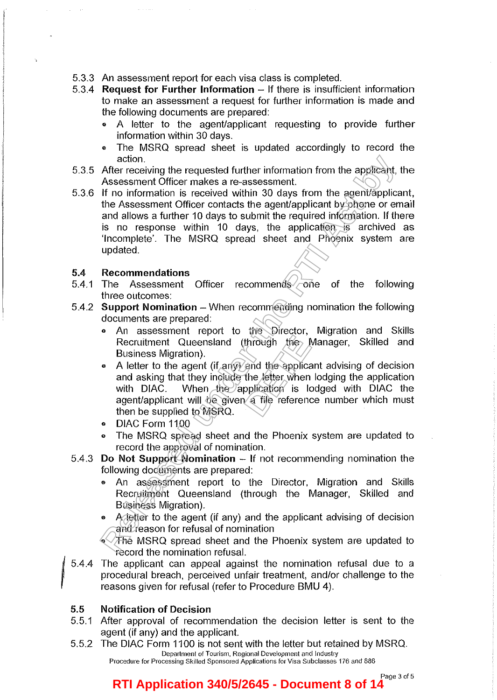- 5.3.3 An assessment report for each visa class is completed.
- 5.3.4 Request for Further Information If there is insufficient information to make an assessment a request for further information is made and the following documents are prepared:
	- A letter to the agent/applicant requesting to provide further information within 30 days.
	- The MSRQ spread sheet is updated accordingly to record the action.
- 5.3.5 After receiving the requested further information from the applicant, the Assessment Officer makes a re-assessment.
- 5.3.6 If no information is received within 30 days from the agent/applicant, the Assessment Officer contacts the agent/applicant by phone or email and allows a further 10 days to submit the required information. If there is no response within 10 days, the application is archived as 'Incomplete'. The MSRQ spread sheet and Phoenix system are updated. action.<br>
After receiving the requested further information from the applicant,<br>
After receiving the requested within 30 days from the agent/application<br>
if no information is received within 30 days, the application is the<br>

#### 5.4 Recommendations

- 5.4.1 The Assessment Officer recommends <del>o</del>ne of the following three outcomes:
- 5.4.2 Support Nomination - When recommending nomination the following documents are prepared:
	- An assessment report to the Director, Migration and Skills Recruitment Queensland (through the Manager, Skilled and Business Migration).
	- A letter to the agent (if any) and the applicant advising of decision and asking that they include the letter when lodging the application with DIAC. When the application is lodged with DIAC the agent/applicant will be given a file reference number which must then be supplied to MSRQ. through the last<br>
	and the application<br>
	pplication is to<br>
	a file reference
	- DIAC Form 1100
	- The MSRQ spread sheet and the Phoenix system are updated to record the approval of nomination.
- 5.4.3 Do Not Support Nomination If not recommending nomination the following documents are prepared:
	- An assessment report to the Director, Migration and Skills Recruitment Queensland (through the Manager, Skilled and Business Migration).
	- A letter to the agent (if any) and the applicant advising of decision and reason for refusal of nomination

The MSRQ spread sheet and the Phoenix system are updated to record the nomination refusal.

*15.4.4*  The applicant can appeal against the nomination refusal due to a procedural breach, perceived unfair treatment, and/or challenge to the reasons given for refusal (refer to Procedure BMU 4).

#### 5.5 Notification of Decision

- 5.5.1 After approval of recommendation the decision letter is sent to the agent (if any) and the applicant.
- 5.5.2 The DIAC Form 1100 is not sent with the letter but retained by MSRQ. Department of Tourism, Regional Development and Industry Procedure for Processing Skilled Sponsored Applications for Visa Subclasses 176 and 886

#### Page 3 of 5 **RTI Application 340/5/2645 - Document 8 of 14**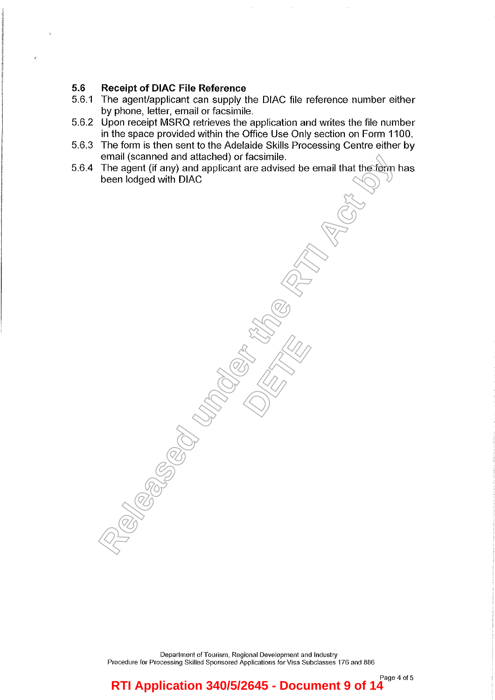## 5.6 **Receipt of DIAC File Reference**

- 5.6. 1 The agent/applicant can supply the DIAC file reference number either by phone, letter, email or facsimile.
- 5.6.2 Upon receipt MSRQ retrieves the application and writes the file number in the space provided within the Office Use Only section on Form 1100.
- 5.6.3 The form is then sent to the Adelaide Skills Processing Centre either by email (scanned and attached) or facsimile.
- 5.6.4 The agent (if any) and applicant are advised be email that the form has been lodged with DIAC **Relevanted and attached on tackings.**<br>The agent (if any) and applicant are advised be email that the form the Deen lodged with DIAC<br>been lodged with DIAC

**DETERNATION** 

**Department of Tourism, Regional Development and Industry Procedure for Processing Skilled Sponsored Applications for Visa Subclasses 176 and 886** 

**Page 4 of 5 RTI Application 340/5/2645 - Document 9 of 14**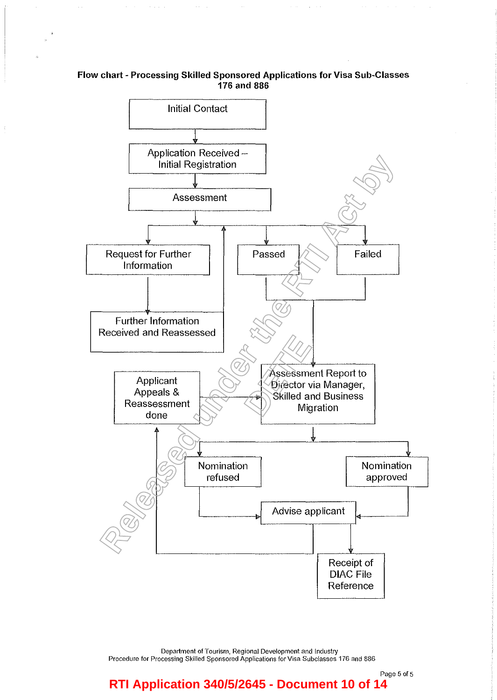#### Flow chart- Processing Skilled Sponsored Applications for Visa Sub-Classes 176 and 886

 $\hat{r}$  ,  $\hat{r}$ 

 $\langle\cdot\rangle$  ,  $\langle\cdot\rangle$  ,  $\langle\cdot\rangle$ 



Department of Tourism, Regional Development and Industry Procedure **for** Processing Skilled Sponsored Applications for Visa Subclasses 176 and 886

## Page 5 of 5 **RTI Application 340/5/2645 - Document 10 of 14**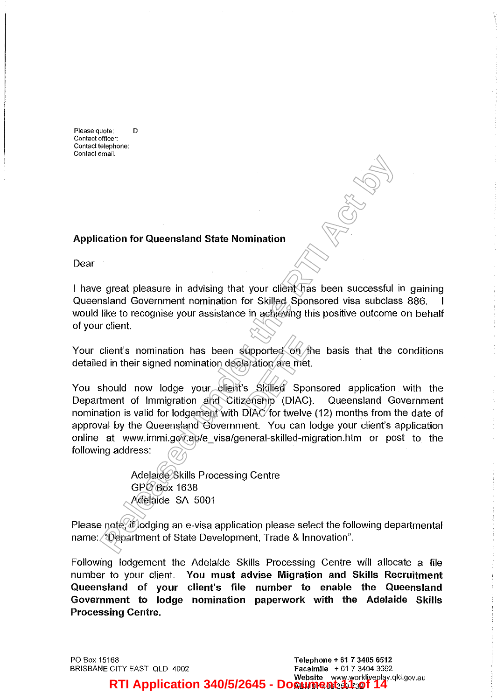**Please quote: D Contact officer: Contact telephone: Contact email:** 

#### **Application for Queensland State Nomination**

Dear

I have great pleasure in advising that your client has been successful in gaining Queensland Government nomination for Skilled Sponsored visa subclass 886. would like to recognise your assistance in achieving this positive outcome on behalf of your client.

Your client's nomination has been supported on the basis that the conditions detailed in their signed nomination declaration are met.

You should now lodge your client's Skilled Sponsored application with the Department of Immigration and Citizenship (DIAC). Queensland Government nomination is valid for lodgement with DIAC for twelve (12) months from the date of approval by the Queensland Government. You can lodge your client's application online at www.immi.gov.au/e\_visa/general-skilled-migration.htm or post to the following address: **Religion State Nomination**<br> **Religion for Queensland State Nomination**<br> **Religion State Monumential State Dividend Transition State is been successful and Government nomination for Skilled. Sponsored visa subclass<br>
Ike to Opported**<br>**Detail on Algradion are met**<br>**S**<br>Skilled Spotenship (DIAC)<br>DIAC for twelve

Adelaide Skills Processing Centre GPO Box 1638 Adelaide SA 5001

Please note, if lodging an e-visa application please select the following departmental name: "Department of State Development, Trade & Innovation".

Following lodgement the Adelaide Skills Processing Centre will allocate a file number to your client. **You must advise Migration and Skills Recruitment Queensland of your client's file number to enable the Queensland Government to lodge nomination paperwork with the Adelaide Skills Processing Centre.** 

PO Box 15168 BRISBANE CITY EAST OLD 4002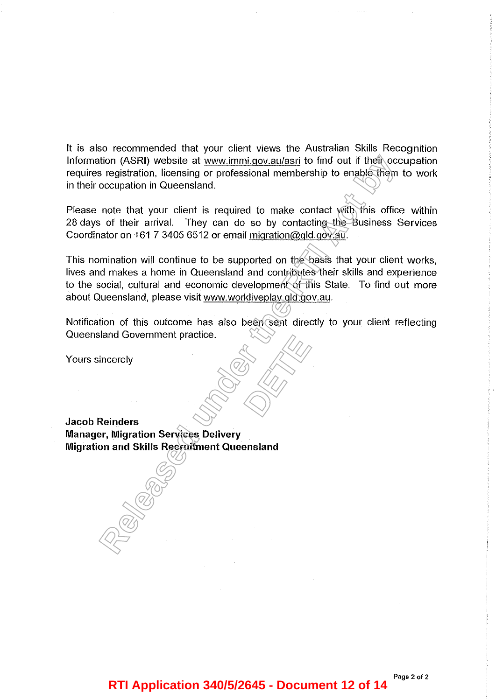It is also recommended that your client views the Australian Skills Recognition Information (ASRI) website at www.immi.gov.au/asri to find out if their occupation requires registration, licensing or professional membership to enable them to work in their occupation in Queensland.

Please note that your client is required to make contact with this office within 28 days of their arrival. They can do so by contacting the Business Services Coordinator on +61 7 3405 6512 or email migration@qld.gov.au.

This nomination will continue to be supported on the basis that your client works, lives and makes a home in Queensland and contributes their skills and experience to the social, cultural and economic development of this State. To find out more about Queensland, please visit www.workliveplay.qld.gov.au. tion (ASR) website at <u>www.immi.gov.au/as</u>gi to find out if their occupation, licensing or prefessional membership to enable frequencies registration, licensing or prefessional membership to enable frequencies occupation i

Notification of this outcome has also been sent directly to your client reflecting Queensland Government practice. **DETERNATION** 

Yours sincerely

**Jacob Reinders Manager, Migration Services Delivery Migration and Skills Recruitment Queensland** 

## **RTI Application 340/5/2645 - Document 12 of 14**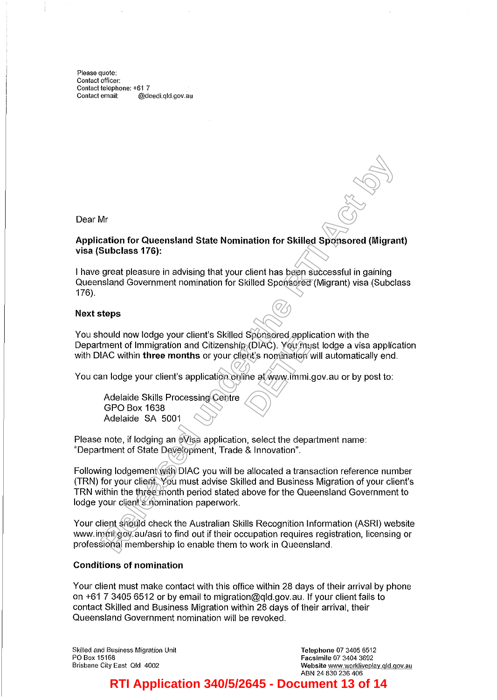Please quote: Contact officer: Contact telephone: +61 7<br>Contact email: @de @deedi.qld.gov.au

Dear Mr

#### Application for Queensland State Nomination for Skilled Sponsored (Migrant) visa (Subclass 176):

I have great pleasure in advising that your client has been successful in gaining Queensland Government nomination for Skilled Sponsored (Migrant) visa (Subclass 176).

#### Next steps

You should now lodge your client's Skilled Sponsored application with the Department of Immigration and Citizenship (DIAC). You must lodge a visa application with DIAC within three months or your client's nomination will automatically end. **Sportspred appli**<br> **COIAC**). You mush is nomination<br>
ine at www.immi.

You can lodge your client's application online at www.immi.gov.au or by post to:

Adelaide Skills Processing Centre GPO Box 1638 Adelaide SA 5001

Please note, if lodging an eVisa application, select the department name: "Department of State Development, Trade & Innovation".

Following lodgement with DIAC you will be allocated a transaction reference number (TRN) for your client. You must advise Skilled and Business Migration of your client's TRN within the three month period stated above for the Queensland Government to lodge your client's nomination paperwork. Mr<br> **Religion for Queensland State Nomination for Skilled Sponsored (Migran<br>
Subclass 176):**<br> **Release the advising that your client has been successful in gaining**<br> **Religion Government nomination for Skilled Sponsored (M** 

Your client should check the Australian Skills Recognition Information (ASRI) website www.immi.gov.au/asri to find out if their occupation requires registration, licensing or professional membership to enable them to work in Queensland.

#### Conditions of nomination

Your client must make contact with this office within 28 days of their arrival by phone on +61 7 3405 6512 or by email to migration@qld.gov.au. If your client fails to contact Skilled and Business Migration within 28 days of their arrival, their Queensland Government nomination will be revoked.

Skilled and Business Migration Unit PO Box 15168 Brisbane City East Old 4002

Telephone 07 3405 6512 Facsimile 07 3404 3692 Website www.workliveplay.qld.gov.au ABN 24 830 236 406

# **RTI Application 340/5/2645 - Document 13 of 14**